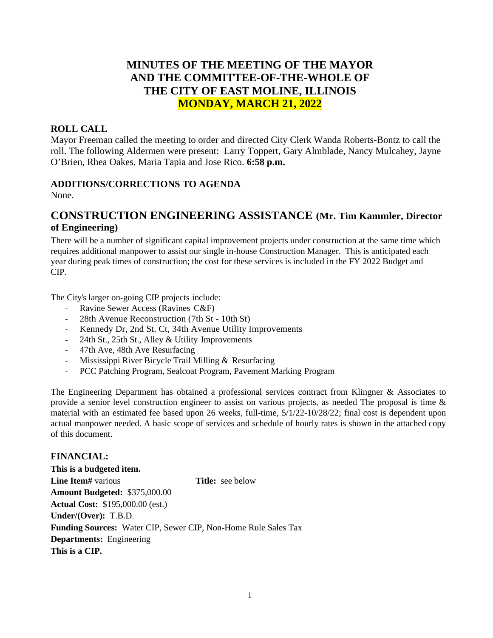## **MINUTES OF THE MEETING OF THE MAYOR AND THE COMMITTEE-OF-THE-WHOLE OF THE CITY OF EAST MOLINE, ILLINOIS MONDAY, MARCH 21, 2022**

### **ROLL CALL**

Mayor Freeman called the meeting to order and directed City Clerk Wanda Roberts-Bontz to call the roll. The following Aldermen were present: Larry Toppert, Gary Almblade, Nancy Mulcahey, Jayne O'Brien, Rhea Oakes, Maria Tapia and Jose Rico. **6:58 p.m.**

#### **ADDITIONS/CORRECTIONS TO AGENDA**

None.

## **CONSTRUCTION ENGINEERING ASSISTANCE (Mr. Tim Kammler, Director of Engineering)**

There will be a number of significant capital improvement projects under construction at the same time which requires additional manpower to assist our single in-house Construction Manager. This is anticipated each year during peak times of construction; the cost for these services is included in the FY 2022 Budget and CIP.

The City's larger on-going CIP projects include:

- Ravine Sewer Access (Ravines C&F)
- 28th Avenue Reconstruction (7th St 10th St)
- Kennedy Dr, 2nd St. Ct, 34th Avenue Utility Improvements
- 24th St., 25th St., Alley & Utility Improvements
- 47th Ave, 48th Ave Resurfacing
- Mississippi River Bicycle Trail Milling & Resurfacing
- PCC Patching Program, Sealcoat Program, Pavement Marking Program

The Engineering Department has obtained a professional services contract from Klingner & Associates to provide a senior level construction engineer to assist on various projects, as needed The proposal is time & material with an estimated fee based upon 26 weeks, full-time, 5/1/22-10/28/22; final cost is dependent upon actual manpower needed. A basic scope of services and schedule of hourly rates is shown in the attached copy of this document.

**FINANCIAL: This is a budgeted item. Line Item#** various **Title:** see below **Amount Budgeted:** \$375,000.00 **Actual Cost:** \$195,000.00 (est.) **Under/(Over):** T.B.D. **Funding Sources:** Water CIP, Sewer CIP, Non-Home Rule Sales Tax **Departments:** Engineering **This is a CIP.**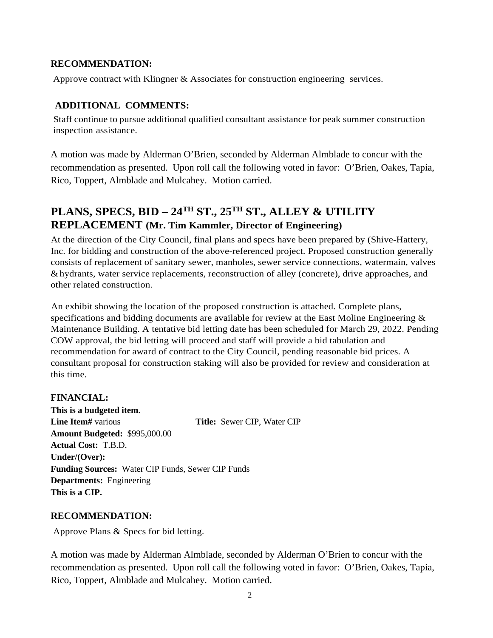### **RECOMMENDATION:**

Approve contract with Klingner & Associates for construction engineering services.

## **ADDITIONAL COMMENTS:**

Staff continue to pursue additional qualified consultant assistance for peak summer construction inspection assistance.

A motion was made by Alderman O'Brien, seconded by Alderman Almblade to concur with the recommendation as presented. Upon roll call the following voted in favor: O'Brien, Oakes, Tapia, Rico, Toppert, Almblade and Mulcahey. Motion carried.

## **PLANS, SPECS, BID – 24TH ST., 25TH ST., ALLEY & UTILITY REPLACEMENT (Mr. Tim Kammler, Director of Engineering)**

At the direction of the City Council, final plans and specs have been prepared by (Shive-Hattery, Inc. for bidding and construction of the above-referenced project. Proposed construction generally consists of replacement of sanitary sewer, manholes, sewer service connections, watermain, valves &hydrants, water service replacements, reconstruction of alley (concrete), drive approaches, and other related construction.

An exhibit showing the location of the proposed construction is attached. Complete plans, specifications and bidding documents are available for review at the East Moline Engineering  $\&$ Maintenance Building. A tentative bid letting date has been scheduled for March 29, 2022. Pending COW approval, the bid letting will proceed and staff will provide a bid tabulation and recommendation for award of contract to the City Council, pending reasonable bid prices. A consultant proposal for construction staking will also be provided for review and consideration at this time.

## **FINANCIAL:**

**This is a budgeted item. Line Item#** various **Title:** Sewer CIP, Water CIP **Amount Budgeted:** \$995,000.00 **Actual Cost:** T.B.D. **Under/(Over): Funding Sources:** Water CIP Funds, Sewer CIP Funds **Departments:** Engineering **This is a CIP.**

#### **RECOMMENDATION:**

Approve Plans & Specs for bid letting.

A motion was made by Alderman Almblade, seconded by Alderman O'Brien to concur with the recommendation as presented. Upon roll call the following voted in favor: O'Brien, Oakes, Tapia, Rico, Toppert, Almblade and Mulcahey. Motion carried.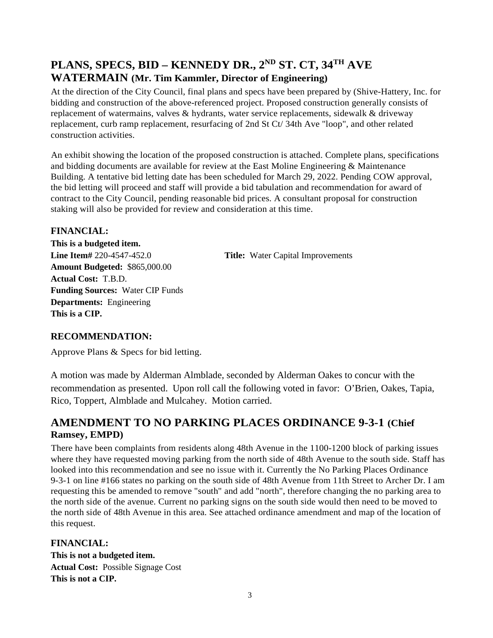## **PLANS, SPECS, BID – KENNEDY DR., 2ND ST. CT, 34TH AVE WATERMAIN (Mr. Tim Kammler, Director of Engineering)**

At the direction of the City Council, final plans and specs have been prepared by (Shive-Hattery, Inc. for bidding and construction of the above-referenced project. Proposed construction generally consists of replacement of watermains, valves & hydrants, water service replacements, sidewalk & driveway replacement, curb ramp replacement, resurfacing of 2nd St Ct/ 34th Ave "loop", and other related construction activities.

An exhibit showing the location of the proposed construction is attached. Complete plans, specifications and bidding documents are available for review at the East Moline Engineering & Maintenance Building. A tentative bid letting date has been scheduled for March 29, 2022. Pending COW approval, the bid letting will proceed and staff will provide a bid tabulation and recommendation for award of contract to the City Council, pending reasonable bid prices. A consultant proposal for construction staking will also be provided for review and consideration at this time.

### **FINANCIAL:**

**This is a budgeted item. Line Item#** 220-4547-452.0 **Title:** Water Capital Improvements **Amount Budgeted:** \$865,000.00 **Actual Cost:** T.B.D. **Funding Sources:** Water CIP Funds **Departments:** Engineering **This is a CIP.**

## **RECOMMENDATION:**

Approve Plans & Specs for bid letting.

A motion was made by Alderman Almblade, seconded by Alderman Oakes to concur with the recommendation as presented. Upon roll call the following voted in favor: O'Brien, Oakes, Tapia, Rico, Toppert, Almblade and Mulcahey. Motion carried.

## **AMENDMENT TO NO PARKING PLACES ORDINANCE 9-3-1 (Chief Ramsey, EMPD)**

There have been complaints from residents along 48th Avenue in the 1100-1200 block of parking issues where they have requested moving parking from the north side of 48th Avenue to the south side. Staff has looked into this recommendation and see no issue with it. Currently the No Parking Places Ordinance 9-3-1 on line #166 states no parking on the south side of 48th Avenue from 11th Street to Archer Dr. I am requesting this be amended to remove "south" and add "north", therefore changing the no parking area to the north side of the avenue. Current no parking signs on the south side would then need to be moved to the north side of 48th Avenue in this area. See attached ordinance amendment and map of the location of this request.

**FINANCIAL: This is not a budgeted item. Actual Cost:** Possible Signage Cost **This is not a CIP.**